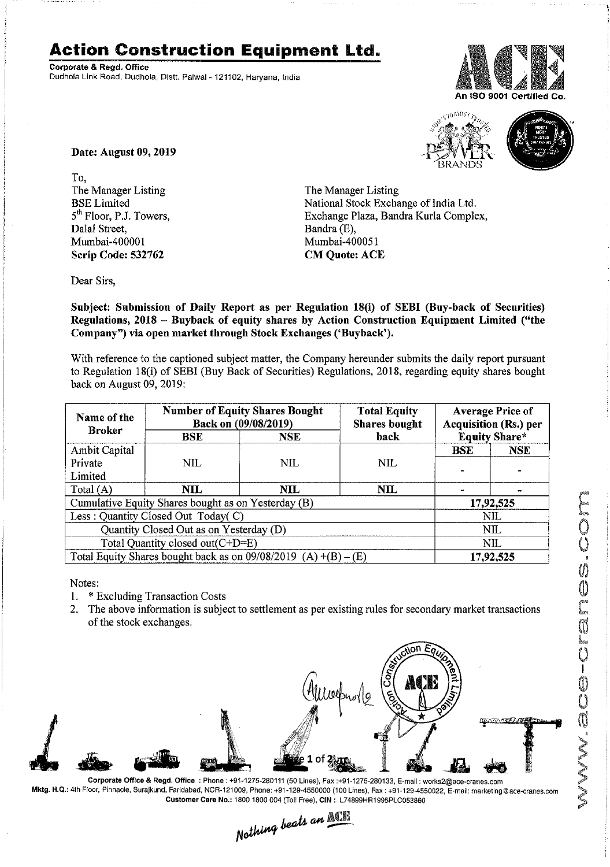## **Action Construction Equipment ltd.**

Corporate & Regd, Office Dudhola Link Road, Dudhola, Distt. Palwal- 121102, Haryana, India





Date: August 09, 2019

To, The Manager Listing BSE Limited 5<sup>th</sup> Floor, P.J. Towers, Dalal Street, Mumbai-400001 Scrip Code: 532762

The Manager Listing National Stock Exchange of India Ltd, Exchange Plaza, Bandra Kurla Complex, Bandra (E), Mumbai-4000S1 CM Quote: ACE

Dear Sirs,

Subject: Submission of Daily Report as per Regulation 18(i) of SEBI (Buy-back of Securities) Regulations, 2018 - Buyback of equity shares by Action Construction Equipment Limited ("the Company") via open market through Stock Exchanges ('Buyback').

With reference to the captioned subject matter, the Company hereunder submits the daily report pursuant to Regulation 18(i) of SEBI (Buy Back of Securities) Regulations, 2018, regarding equity shares bought back on August 09,2019:

| Name of the<br><b>Broker</b>                                      | <b>Number of Equity Shares Bought</b><br>Back on (09/08/2019) |                | <b>Total Equity</b><br><b>Shares</b> bought | <b>Average Price of</b><br><b>Acquisition (Rs.) per</b> |            |  |
|-------------------------------------------------------------------|---------------------------------------------------------------|----------------|---------------------------------------------|---------------------------------------------------------|------------|--|
|                                                                   | <b>BSE</b>                                                    | <b>NSE</b>     | back                                        | <b>Equity Share*</b>                                    |            |  |
| Ambit Capital                                                     |                                                               |                |                                             | <b>BSE</b>                                              | <b>NSE</b> |  |
| Private                                                           | NIL.                                                          | NIL            | <b>NIL</b>                                  |                                                         |            |  |
| Limited                                                           |                                                               |                |                                             |                                                         |            |  |
| Total $(A)$                                                       | NIL.                                                          | $\mathbf{NIL}$ | NIL                                         |                                                         |            |  |
| Cumulative Equity Shares bought as on Yesterday (B)               |                                                               |                |                                             |                                                         | 17,92,525  |  |
| Less: Quantity Closed Out Today(C)                                |                                                               |                |                                             | NIL                                                     |            |  |
| Quantity Closed Out as on Yesterday (D)                           |                                                               |                |                                             | NIL                                                     |            |  |
| Total Quantity closed out(C+D=E)                                  |                                                               |                |                                             |                                                         | NIL        |  |
| Total Equity Shares bought back as on $09/08/2019$ (A) +(B) – (E) |                                                               |                |                                             | 17,92,525                                               |            |  |

Notes:

- 1, \* Excluding Transaction Costs
- 2. The above information is subject to settlement as per existing rules for secondary market transactions of the stock exchanges.



Corporate Office & Regd, Office: Phone: +91-1275·280111 (50 Lines), Fax:+91-1275-280133, E-mail: works2@ace.cranes.com Mktg. H.Q.: 4th Floor, Pinnacle, Surajkund, Faridabad, NCR·121009, Phone: +91-129·4550000 (100 Lines), Fax: +91-129·4550022, E·mail: marketing@ace'cranes,com Customer Care No.: 1800 1800 004 (Toll Free), CIN: L74899HR1995PLC053860

 $L_{\textit{sc}}$ ts an  $\mathbb{ALI}$  $Notning$ <sup> $oc$ </sup>